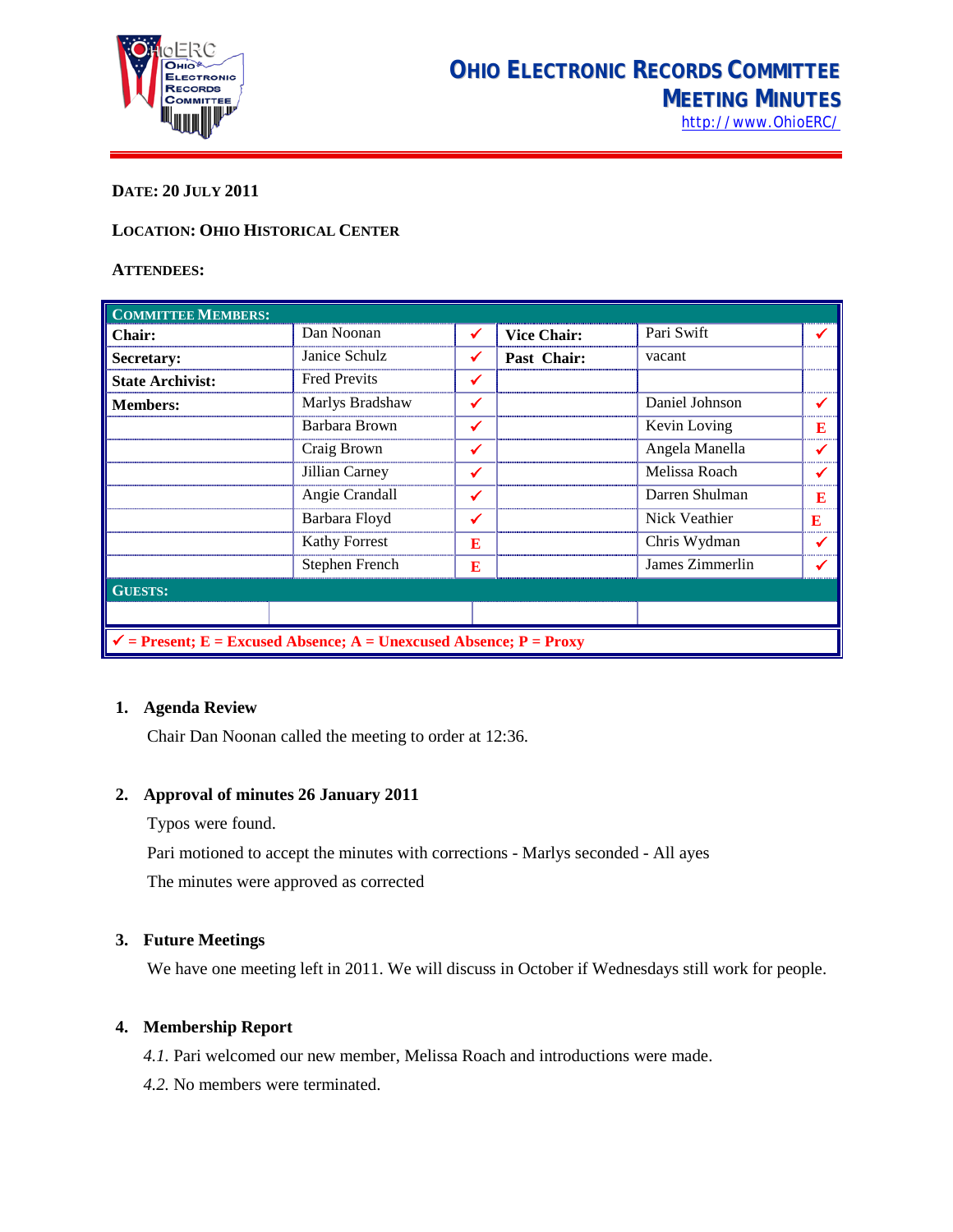

## **DATE: 20 JULY 2011**

## **LOCATION: OHIO HISTORICAL CENTER**

#### **ATTENDEES:**

| <b>COMMITTEE MEMBERS:</b>                                                     |                      |   |                    |                 |   |
|-------------------------------------------------------------------------------|----------------------|---|--------------------|-----------------|---|
| Chair:                                                                        | Dan Noonan           | ✔ | <b>Vice Chair:</b> | Pari Swift      |   |
| Secretary:                                                                    | Janice Schulz        | ✔ | Past Chair:        | vacant          |   |
| <b>State Archivist:</b>                                                       | <b>Fred Previts</b>  | ✓ |                    |                 |   |
| <b>Members:</b>                                                               | Marlys Bradshaw      | ✔ |                    | Daniel Johnson  |   |
|                                                                               | Barbara Brown        | ✔ |                    | Kevin Loving    | E |
|                                                                               | Craig Brown          | ✓ |                    | Angela Manella  |   |
|                                                                               | Jillian Carney       | ✔ |                    | Melissa Roach   |   |
|                                                                               | Angie Crandall       | ✓ |                    | Darren Shulman  | E |
|                                                                               | Barbara Floyd        | ✓ |                    | Nick Veathier   | E |
|                                                                               | <b>Kathy Forrest</b> | E |                    | Chris Wydman    |   |
|                                                                               | Stephen French       | E |                    | James Zimmerlin |   |
| <b>GUESTS:</b>                                                                |                      |   |                    |                 |   |
|                                                                               |                      |   |                    |                 |   |
| $\checkmark$ = Present; E = Excused Absence; A = Unexcused Absence; P = Proxy |                      |   |                    |                 |   |

#### **1. Agenda Review**

Chair Dan Noonan called the meeting to order at 12:36.

#### **2. Approval of minutes 26 January 2011**

Typos were found.

Pari motioned to accept the minutes with corrections - Marlys seconded - All ayes

The minutes were approved as corrected

#### **3. Future Meetings**

We have one meeting left in 2011. We will discuss in October if Wednesdays still work for people.

#### **4. Membership Report**

*4.1.* Pari welcomed our new member, Melissa Roach and introductions were made.

*4.2.* No members were terminated.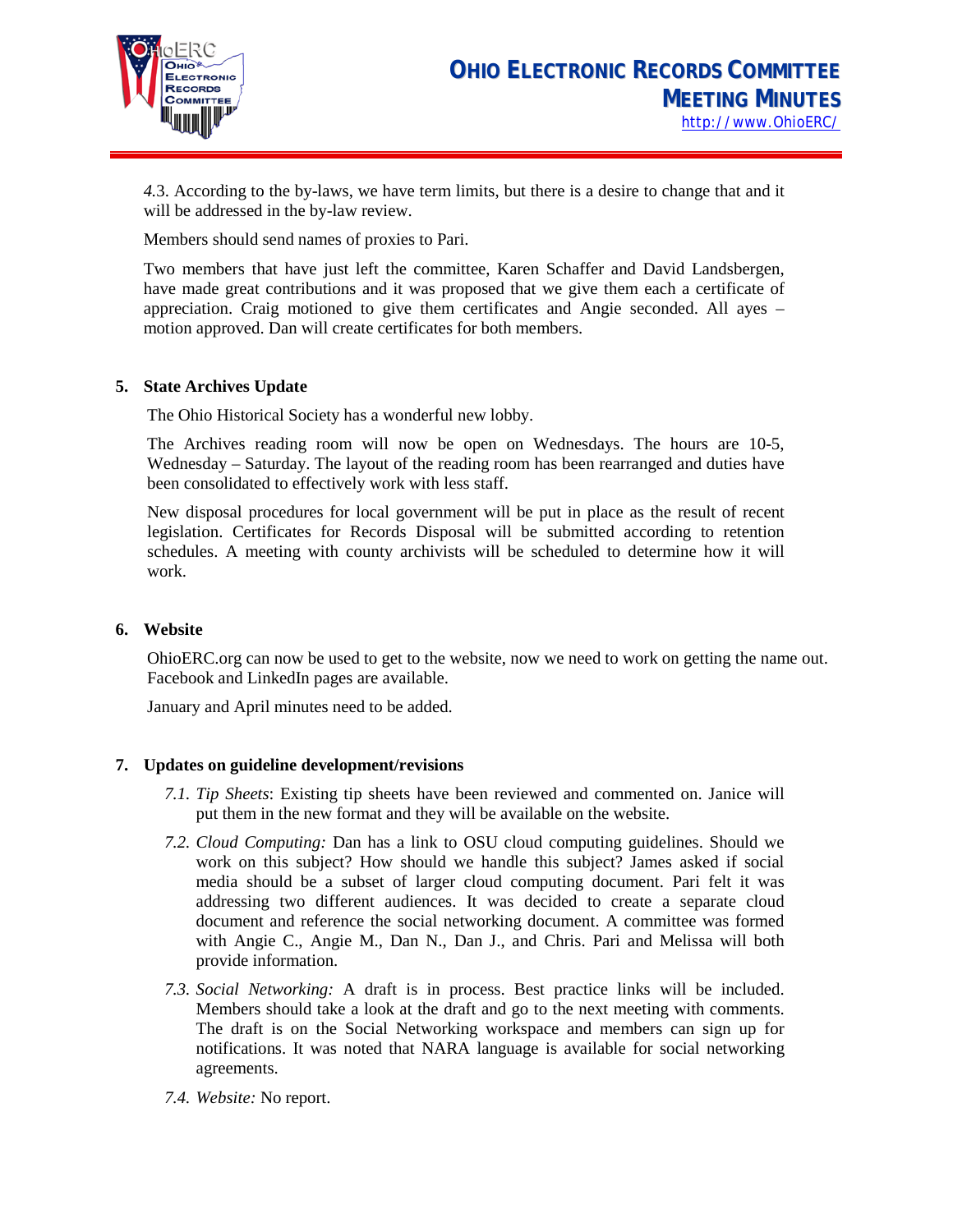

*4.*3. According to the by-laws, we have term limits, but there is a desire to change that and it will be addressed in the by-law review.

Members should send names of proxies to Pari.

Two members that have just left the committee, Karen Schaffer and David Landsbergen, have made great contributions and it was proposed that we give them each a certificate of appreciation. Craig motioned to give them certificates and Angie seconded. All ayes – motion approved. Dan will create certificates for both members.

## **5. State Archives Update**

The Ohio Historical Society has a wonderful new lobby.

The Archives reading room will now be open on Wednesdays. The hours are 10-5, Wednesday – Saturday. The layout of the reading room has been rearranged and duties have been consolidated to effectively work with less staff.

New disposal procedures for local government will be put in place as the result of recent legislation. Certificates for Records Disposal will be submitted according to retention schedules. A meeting with county archivists will be scheduled to determine how it will work.

## **6. Website**

OhioERC.org can now be used to get to the website, now we need to work on getting the name out. Facebook and LinkedIn pages are available.

January and April minutes need to be added.

## **7. Updates on guideline development/revisions**

- *7.1. Tip Sheets*: Existing tip sheets have been reviewed and commented on. Janice will put them in the new format and they will be available on the website.
- *7.2. Cloud Computing:* Dan has a link to OSU cloud computing guidelines. Should we work on this subject? How should we handle this subject? James asked if social media should be a subset of larger cloud computing document. Pari felt it was addressing two different audiences. It was decided to create a separate cloud document and reference the social networking document. A committee was formed with Angie C., Angie M., Dan N., Dan J., and Chris. Pari and Melissa will both provide information.
- *7.3. Social Networking:* A draft is in process. Best practice links will be included. Members should take a look at the draft and go to the next meeting with comments. The draft is on the Social Networking workspace and members can sign up for notifications. It was noted that NARA language is available for social networking agreements.
- *7.4. Website:* No report.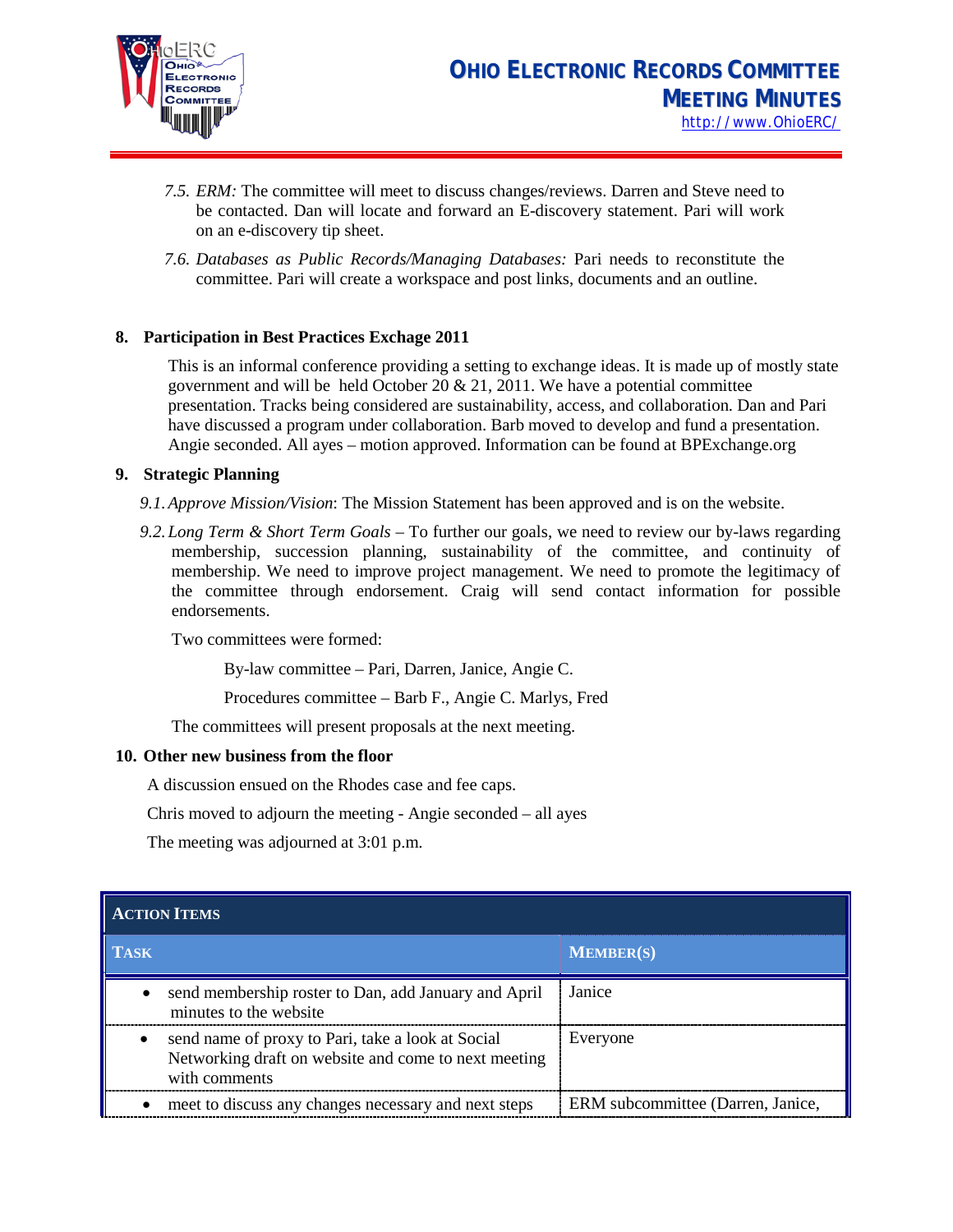

- *7.5. ERM:* The committee will meet to discuss changes/reviews. Darren and Steve need to be contacted. Dan will locate and forward an E-discovery statement. Pari will work on an e-discovery tip sheet.
- *7.6. Databases as Public Records/Managing Databases:* Pari needs to reconstitute the committee. Pari will create a workspace and post links, documents and an outline.

## **8. Participation in Best Practices Exchage 2011**

This is an informal conference providing a setting to exchange ideas. It is made up of mostly state government and will be held October 20  $& 21, 2011$ . We have a potential committee presentation. Tracks being considered are sustainability, access, and collaboration. Dan and Pari have discussed a program under collaboration. Barb moved to develop and fund a presentation. Angie seconded. All ayes – motion approved. Information can be found at BPExchange.org

## **9. Strategic Planning**

- *9.1.Approve Mission/Vision*: The Mission Statement has been approved and is on the website.
- *9.2.Long Term & Short Term Goals* To further our goals, we need to review our by-laws regarding membership, succession planning, sustainability of the committee, and continuity of membership. We need to improve project management. We need to promote the legitimacy of the committee through endorsement. Craig will send contact information for possible endorsements.

Two committees were formed:

By-law committee – Pari, Darren, Janice, Angie C.

Procedures committee – Barb F., Angie C. Marlys, Fred

The committees will present proposals at the next meeting.

#### **10. Other new business from the floor**

A discussion ensued on the Rhodes case and fee caps.

Chris moved to adjourn the meeting - Angie seconded – all ayes

The meeting was adjourned at 3:01 p.m.

| <b>ACTION ITEMS</b> |                                                                                                                            |                                   |  |  |
|---------------------|----------------------------------------------------------------------------------------------------------------------------|-----------------------------------|--|--|
| TASK                |                                                                                                                            | <b>MEMBER(S)</b>                  |  |  |
|                     | send membership roster to Dan, add January and April<br>minutes to the website.                                            | Janice                            |  |  |
| $\bullet$           | send name of proxy to Pari, take a look at Social<br>Networking draft on website and come to next meeting<br>with comments | Everyone                          |  |  |
|                     | meet to discuss any changes necessary and next steps                                                                       | ERM subcommittee (Darren, Janice, |  |  |